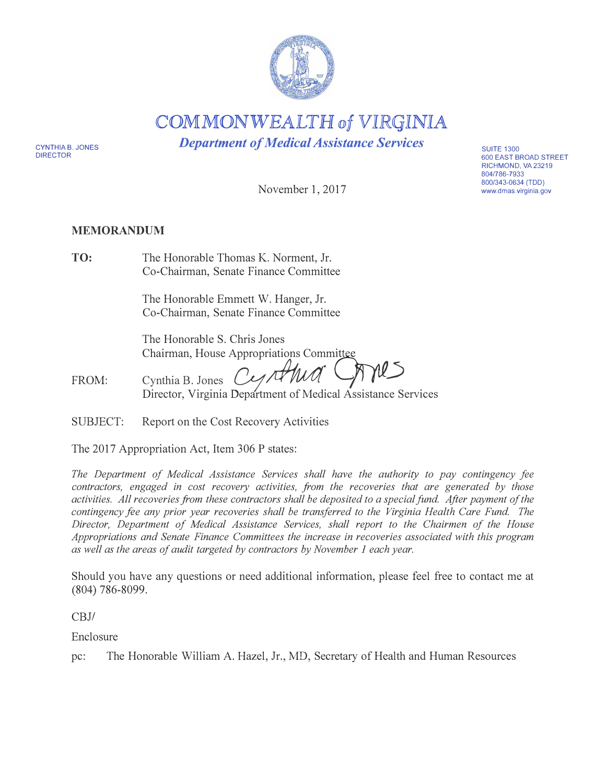

COMMONWEALTH of *VIRGINIA* 

*Department of Medical Assistance Services* 

CYNTHIA B. JONES DIRECTOR

November 1, 2017

# **MEMORANDUM**

**TO:**  The Honorable Thomas K. Norment, Jr. Co-Chairman, Senate Finance Committee

> The Honorable Emmett W. Hanger, Jr. Co-Chairman, Senate Finance Committee

The Honorable S. Chris Jones Chairman, House Appropriations Committee

FROM:  $C$ *vnthia B. Jones Li.5* Director, Virginia Department of Medical Assistance Services

SUBJECT: Report on the Cost Recovery Activities

The 2017 Appropriation Act, Item 306 P states:

*The Department of Medical Assistance Services shall have the authority to pay contingency fee contractors, engaged in cost recovery activities, from the recoveries that are generated by those activities. All recoveries from these contractors shall be deposited to a special fund. After payment of the contingency fee any prior year recoveries shall be transferred to the Virginia Health Care Fund. The Director, Department of Medical Assistance Services, shall report to the Chairmen of the House Appropriations and Senate Finance Committees the increase in recoveries associated with this program as well as the areas of audit targeted by contractors by November 1 each year.* 

Should you have any questions or need additional information, please feel free to contact me at (804) 786-8099.

CBJ/

Enclosure

pc: The Honorable William A. Hazel, Jr., MD, Secretary of Health and Human Resources

**SUITE 1300** 600 EAST BROAD STREET RICHMOND, VA 23219 804/786-7933 800/343-0634 (TDD) www.dmas.virginia.gov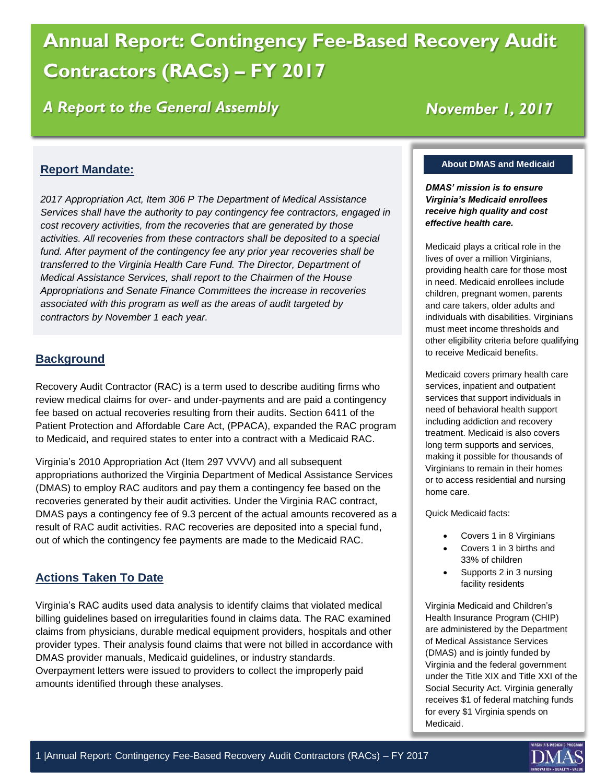# **Annual Report: Contingency Fee-Based Recovery Audit Contractors (RACs) – FY 2017**

*A Report to the General Assembly*

# *November 1, 2017*

# **Report Mandate:**

*2017 Appropriation Act, Item 306 P The Department of Medical Assistance Services shall have the authority to pay contingency fee contractors, engaged in cost recovery activities, from the recoveries that are generated by those activities. All recoveries from these contractors shall be deposited to a special fund. After payment of the contingency fee any prior year recoveries shall be transferred to the Virginia Health Care Fund. The Director, Department of Medical Assistance Services, shall report to the Chairmen of the House Appropriations and Senate Finance Committees the increase in recoveries associated with this program as well as the areas of audit targeted by contractors by November 1 each year.*

# **Background**

Recovery Audit Contractor (RAC) is a term used to describe auditing firms who review medical claims for over- and under-payments and are paid a contingency fee based on actual recoveries resulting from their audits. Section 6411 of the Patient Protection and Affordable Care Act, (PPACA), expanded the RAC program to Medicaid, and required states to enter into a contract with a Medicaid RAC.

Virginia's 2010 Appropriation Act (Item 297 VVVV) and all subsequent appropriations authorized the Virginia Department of Medical Assistance Services (DMAS) to employ RAC auditors and pay them a contingency fee based on the recoveries generated by their audit activities. Under the Virginia RAC contract, DMAS pays a contingency fee of 9.3 percent of the actual amounts recovered as a result of RAC audit activities. RAC recoveries are deposited into a special fund, out of which the contingency fee payments are made to the Medicaid RAC.

# **Actions Taken To Date**

Virginia's RAC audits used data analysis to identify claims that violated medical billing guidelines based on irregularities found in claims data. The RAC examined claims from physicians, durable medical equipment providers, hospitals and other provider types. Their analysis found claims that were not billed in accordance with DMAS provider manuals, Medicaid guidelines, or industry standards. Overpayment letters were issued to providers to collect the improperly paid amounts identified through these analyses.

#### **About DMAS and Medicaid**

*DMAS' mission is to ensure Virginia's Medicaid enrollees receive high quality and cost effective health care.*

Medicaid plays a critical role in the lives of over a million Virginians, providing health care for those most in need. Medicaid enrollees include children, pregnant women, parents and care takers, older adults and individuals with disabilities. Virginians must meet income thresholds and other eligibility criteria before qualifying to receive Medicaid benefits.

Medicaid covers primary health care services, inpatient and outpatient services that support individuals in need of behavioral health support including addiction and recovery treatment. Medicaid is also covers long term supports and services, making it possible for thousands of Virginians to remain in their homes or to access residential and nursing home care.

Quick Medicaid facts:

- Covers 1 in 8 Virginians
- Covers 1 in 3 births and 33% of children
- Supports 2 in 3 nursing facility residents

Virginia Medicaid and Children's Health Insurance Program (CHIP) are administered by the Department of Medical Assistance Services (DMAS) and is jointly funded by Virginia and the federal government under the Title XIX and Title XXI of the Social Security Act. Virginia generally receives \$1 of federal matching funds for every \$1 Virginia spends on Medicaid.